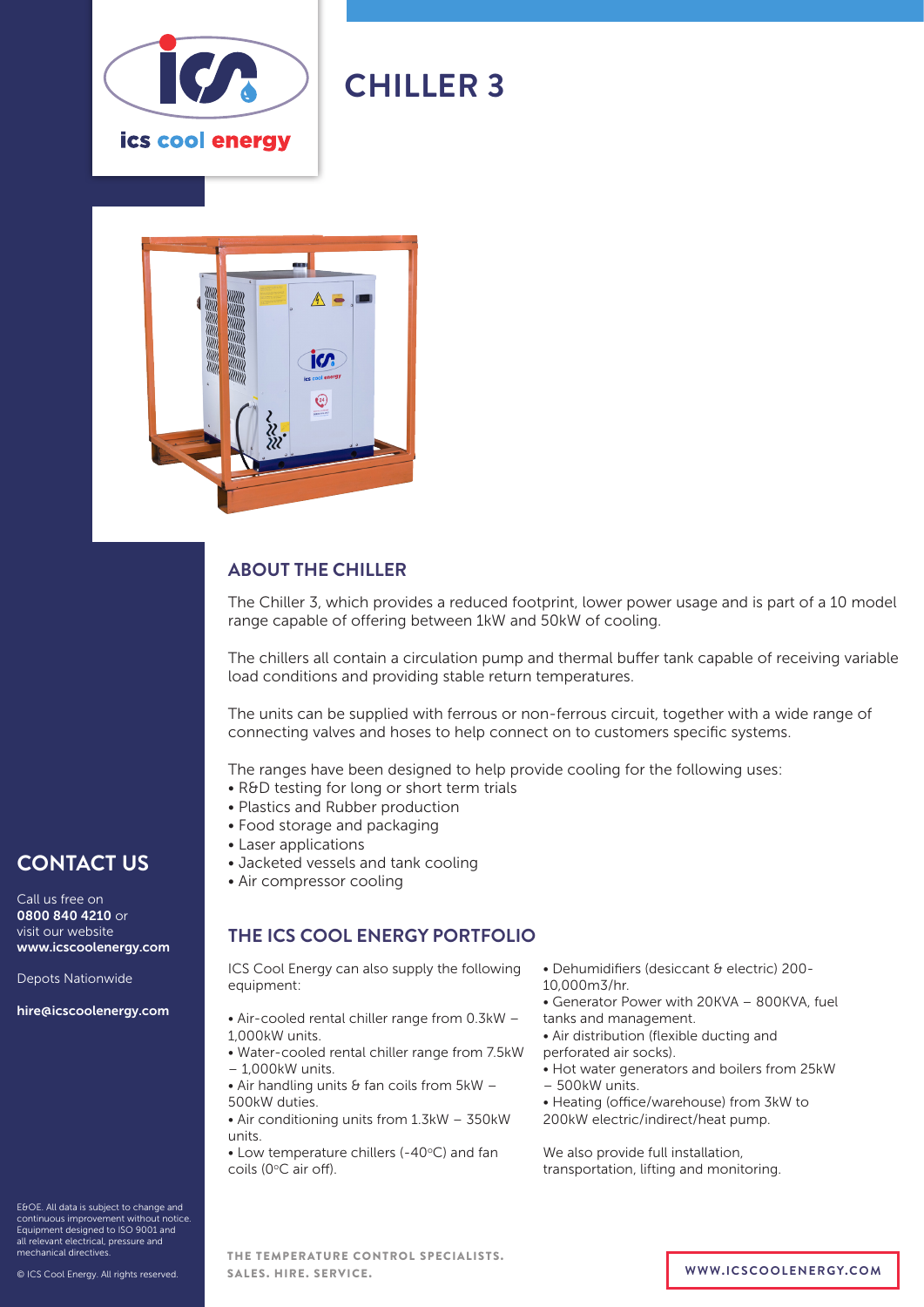

# **CHILLER 3**



### **ABOUT THE CHILLER**

The Chiller 3, which provides a reduced footprint, lower power usage and is part of a 10 model range capable of offering between 1kW and 50kW of cooling.

The chillers all contain a circulation pump and thermal buffer tank capable of receiving variable load conditions and providing stable return temperatures.

The units can be supplied with ferrous or non-ferrous circuit, together with a wide range of connecting valves and hoses to help connect on to customers specific systems.

The ranges have been designed to help provide cooling for the following uses:

- R&D testing for long or short term trials
- Plastics and Rubber production
- Food storage and packaging
- Laser applications
- Jacketed vessels and tank cooling
- Air compressor cooling

#### **THE ICS COOL ENERGY PORTFOLIO**

ICS Cool Energy can also supply the following equipment:

- Air-cooled rental chiller range from 0.3kW 1,000kW units.
- Water-cooled rental chiller range from 7.5kW – 1,000kW units.
- $\bullet$  Air handling units & fan coils from 5kW -500kW duties.
- Air conditioning units from 1.3kW 350kW units.

 $\bullet$  Low temperature chillers (-40 $\degree$ C) and fan coils (0°C air off).

- Dehumidifiers (desiccant & electric) 200-
- 10,000m3/hr.
- Generator Power with 20KVA 800KVA, fuel
- tanks and management.
- Air distribution (flexible ducting and
- perforated air socks).
- Hot water generators and boilers from 25kW
- 500kW units.
- Heating (office/warehouse) from 3kW to 200kW electric/indirect/heat pump.

We also provide full installation, transportation, lifting and monitoring.

E&OE. All data is subject to change and continuous improvement without notice. Equipment designed to ISO 9001 and all relevant electrical, pressure and mechanical directives.

**CONTACT US**

www.icscoolenergy.com

hire@icscoolenergy.com

Depots Nationwide

Call us free on 0800 840 4210 or visit our website

© ICS Cool Energy. All rights reserved.

THE TEMPERATURE CONTROL SPECIALISTS. SALES. HIRE. SERVICE. **WWW.ICSCOOLENERGY.COM**